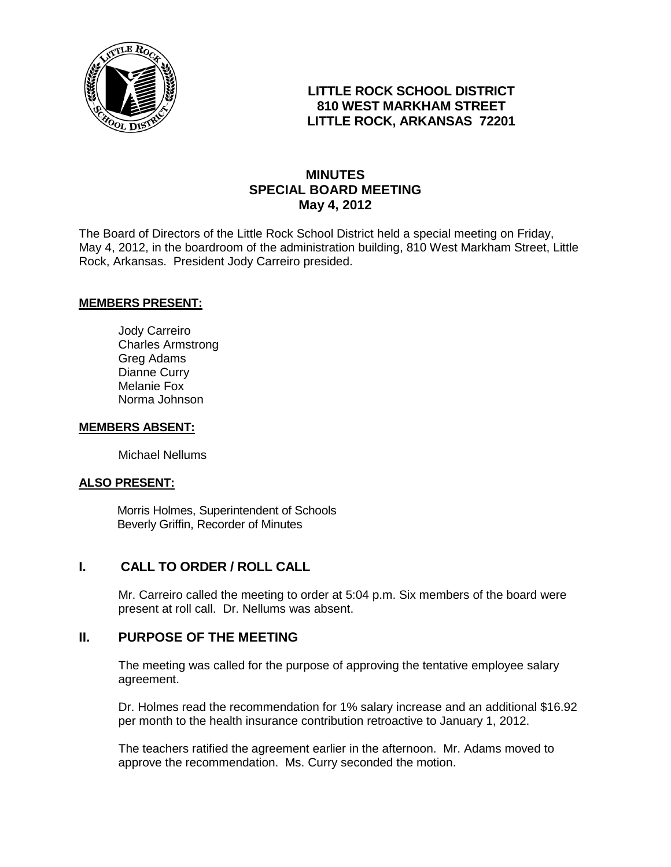

## **LITTLE ROCK SCHOOL DISTRICT 810 WEST MARKHAM STREET LITTLE ROCK, ARKANSAS 72201**

# **MINUTES SPECIAL BOARD MEETING May 4, 2012**

The Board of Directors of the Little Rock School District held a special meeting on Friday, May 4, 2012, in the boardroom of the administration building, 810 West Markham Street, Little Rock, Arkansas. President Jody Carreiro presided.

#### **MEMBERS PRESENT:**

Jody Carreiro Charles Armstrong Greg Adams Dianne Curry Melanie Fox Norma Johnson

#### **MEMBERS ABSENT:**

Michael Nellums

#### **ALSO PRESENT:**

 Morris Holmes, Superintendent of Schools Beverly Griffin, Recorder of Minutes

### **I. CALL TO ORDER / ROLL CALL**

Mr. Carreiro called the meeting to order at 5:04 p.m. Six members of the board were present at roll call. Dr. Nellums was absent.

### **II. PURPOSE OF THE MEETING**

The meeting was called for the purpose of approving the tentative employee salary agreement.

Dr. Holmes read the recommendation for 1% salary increase and an additional \$16.92 per month to the health insurance contribution retroactive to January 1, 2012.

The teachers ratified the agreement earlier in the afternoon. Mr. Adams moved to approve the recommendation. Ms. Curry seconded the motion.